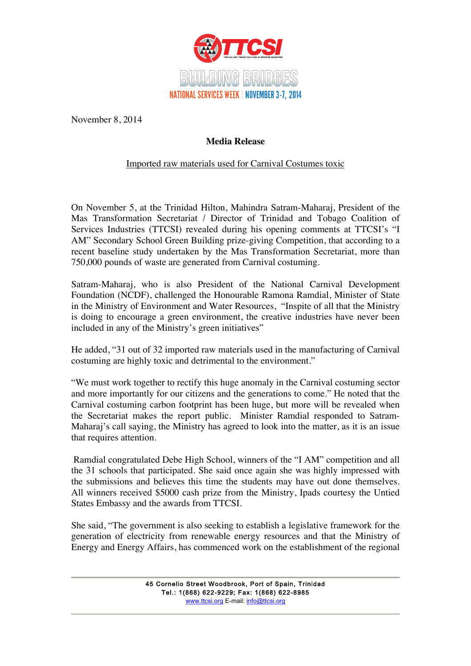

November 8, 2014

## **Media Release**

## Imported raw materials used for Carnival Costumes toxic

On November 5, at the Trinidad Hilton, Mahindra Satram-Maharaj, President of the Mas Transformation Secretariat / Director of Trinidad and Tobago Coalition of Services Industries (TTCSI) revealed during his opening comments at TTCSI's "I AM" Secondary School Green Building prize-giving Competition, that according to a recent baseline study undertaken by the Mas Transformation Secretariat, more than 750,000 pounds of waste are generated from Carnival costuming.

Satram-Maharaj, who is also President of the National Carnival Development Foundation (NCDF), challenged the Honourable Ramona Ramdial, Minister of State in the Ministry of Environment and Water Resources, "Inspite of all that the Ministry is doing to encourage a green environment, the creative industries have never been included in any of the Ministry's green initiatives"

He added, "31 out of 32 imported raw materials used in the manufacturing of Carnival costuming are highly toxic and detrimental to the environment."

"We must work together to rectify this huge anomaly in the Carnival costuming sector and more importantly for our citizens and the generations to come." He noted that the Carnival costuming carbon footprint has been huge, but more will be revealed when the Secretariat makes the report public. Minister Ramdial responded to Satram-Maharaj's call saying, the Ministry has agreed to look into the matter, as it is an issue that requires attention.

Ramdial congratulated Debe High School, winners of the "I AM" competition and all the 31 schools that participated. She said once again she was highly impressed with the submissions and believes this time the students may have out done themselves. All winners received \$5000 cash prize from the Ministry, Ipads courtesy the Untied States Embassy and the awards from TTCSI.

She said, "The government is also seeking to establish a legislative framework for the generation of electricity from renewable energy resources and that the Ministry of Energy and Energy Affairs, has commenced work on the establishment of the regional